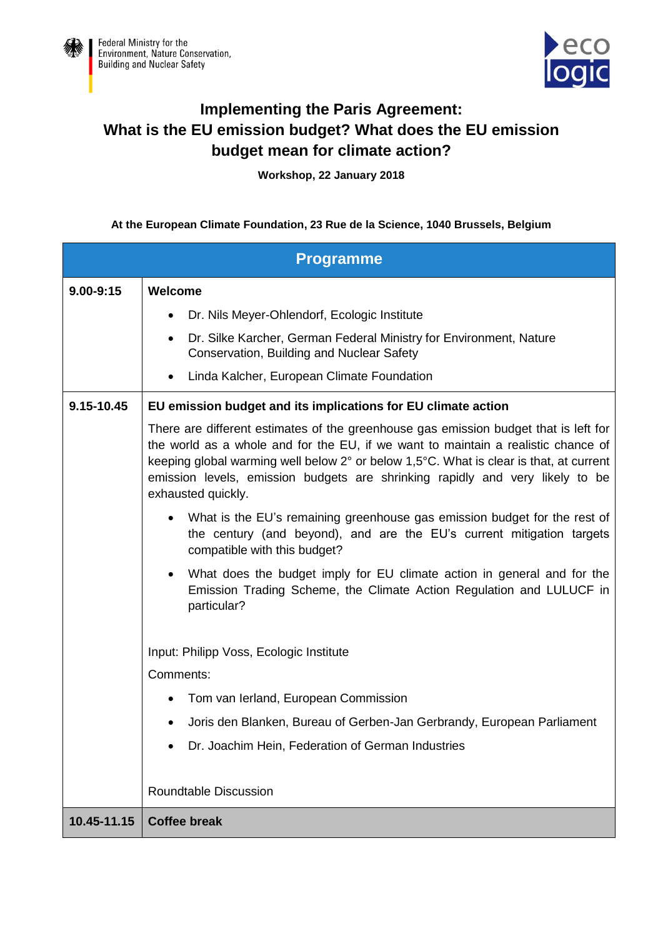



## **Implementing the Paris Agreement: What is the EU emission budget? What does the EU emission budget mean for climate action?**

**Workshop, 22 January 2018**

## **At the European Climate Foundation, 23 Rue de la Science, 1040 Brussels, Belgium**

| <b>Programme</b> |                                                                                                                                                                                                                                                                                                                                                                            |  |
|------------------|----------------------------------------------------------------------------------------------------------------------------------------------------------------------------------------------------------------------------------------------------------------------------------------------------------------------------------------------------------------------------|--|
| $9.00 - 9:15$    | Welcome                                                                                                                                                                                                                                                                                                                                                                    |  |
|                  | Dr. Nils Meyer-Ohlendorf, Ecologic Institute                                                                                                                                                                                                                                                                                                                               |  |
|                  | Dr. Silke Karcher, German Federal Ministry for Environment, Nature<br>Conservation, Building and Nuclear Safety                                                                                                                                                                                                                                                            |  |
|                  | Linda Kalcher, European Climate Foundation                                                                                                                                                                                                                                                                                                                                 |  |
| 9.15-10.45       | EU emission budget and its implications for EU climate action                                                                                                                                                                                                                                                                                                              |  |
|                  | There are different estimates of the greenhouse gas emission budget that is left for<br>the world as a whole and for the EU, if we want to maintain a realistic chance of<br>keeping global warming well below 2° or below 1,5°C. What is clear is that, at current<br>emission levels, emission budgets are shrinking rapidly and very likely to be<br>exhausted quickly. |  |
|                  | What is the EU's remaining greenhouse gas emission budget for the rest of<br>the century (and beyond), and are the EU's current mitigation targets<br>compatible with this budget?                                                                                                                                                                                         |  |
|                  | What does the budget imply for EU climate action in general and for the<br>Emission Trading Scheme, the Climate Action Regulation and LULUCF in<br>particular?                                                                                                                                                                                                             |  |
|                  | Input: Philipp Voss, Ecologic Institute                                                                                                                                                                                                                                                                                                                                    |  |
|                  | Comments:                                                                                                                                                                                                                                                                                                                                                                  |  |
|                  | Tom van Ierland, European Commission                                                                                                                                                                                                                                                                                                                                       |  |
|                  | Joris den Blanken, Bureau of Gerben-Jan Gerbrandy, European Parliament                                                                                                                                                                                                                                                                                                     |  |
|                  | Dr. Joachim Hein, Federation of German Industries                                                                                                                                                                                                                                                                                                                          |  |
|                  | <b>Roundtable Discussion</b>                                                                                                                                                                                                                                                                                                                                               |  |
| 10.45-11.15      | <b>Coffee break</b>                                                                                                                                                                                                                                                                                                                                                        |  |